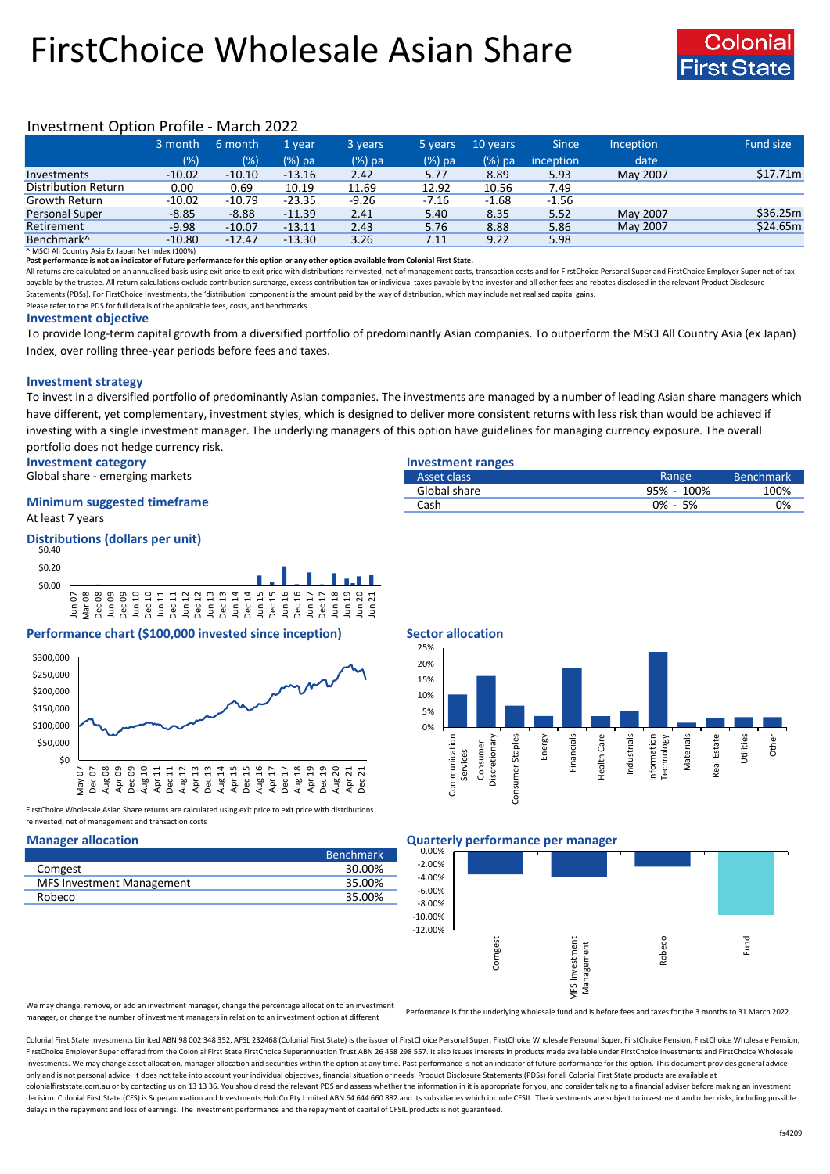# FirstChoice Wholesale Asian Share



## Investment Option Profile - March 2022

|                        | 3 month  | 6 month  | 1 vear   | 3 years | 5 years | 10 years | <b>Since</b> | <b>Inception</b> | Fund size |
|------------------------|----------|----------|----------|---------|---------|----------|--------------|------------------|-----------|
|                        | (% )     | (%)      | $(%)$ pa | (%) pa  | (%) pa  | (%) pa   | inception    | date             |           |
| Investments            | $-10.02$ | $-10.10$ | $-13.16$ | 2.42    | 5.77    | 8.89     | 5.93         | May 2007         | \$17.71m  |
| Distribution Return    | 0.00     | 0.69     | 10.19    | 11.69   | 12.92   | 10.56    | 7.49         |                  |           |
| Growth Return          | $-10.02$ | $-10.79$ | $-23.35$ | $-9.26$ | $-7.16$ | $-1.68$  | $-1.56$      |                  |           |
| <b>Personal Super</b>  | $-8.85$  | $-8.88$  | $-11.39$ | 2.41    | 5.40    | 8.35     | 5.52         | May 2007         | \$36.25m  |
| Retirement             | $-9.98$  | $-10.07$ | $-13.11$ | 2.43    | 5.76    | 8.88     | 5.86         | May 2007         | \$24.65m  |
| Benchmark <sup>^</sup> | $-10.80$ | $-12.47$ | $-13.30$ | 3.26    | 7.11    | 9.22     | 5.98         |                  |           |

^ MSCI All Country Asia Ex Japan Net Index (100%)

**Past performance is not an indicator of future performance for this option or any other option available from Colonial First State.**

All returns are calculated on an annualised basis using exit price to exit price with distributions reinvested, net of management costs, transaction costs and for FirstChoice Personal Super and FirstChoice Employer Super n payable by the trustee. All return calculations exclude contribution surcharge, excess contribution tax or individual taxes payable by the investor and all other fees and rebates disclosed in the relevant Product Disclosur Statements (PDSs). For FirstChoice Investments, the 'distribution' component is the amount paid by the way of distribution, which may include net realised capital gains.

Please refer to the PDS for full details of the applicable fees, costs, and benchmarks.

### **Investment objective**

To provide long-term capital growth from a diversified portfolio of predominantly Asian companies. To outperform the MSCI All Country Asia (ex Japan) Index, over rolling three-year periods before fees and taxes.

### **Investment strategy**

To invest in a diversified portfolio of predominantly Asian companies. The investments are managed by a number of leading Asian share managers which have different, yet complementary, investment styles, which is designed to deliver more consistent returns with less risk than would be achieved if investing with a single investment manager. The underlying managers of this option have guidelines for managing currency exposure. The overall portfolio does not hedge currency risk.

**Investment category Investment ranges**

Global share - emerging markets

### At least 7 years **Minimum suggested timeframe**

### **Distributions (dollars per unit)**



### **Performance chart (\$100,000 invested since inception) Sector allocation**



FirstChoice Wholesale Asian Share returns are calculated using exit price to exit price with distributions reinvested, net of management and transaction costs

|                                  | <b>Benchmark</b> |
|----------------------------------|------------------|
| Comgest                          | 30.00%           |
| <b>MFS Investment Management</b> | 35.00%           |
| Robeco                           | 35.00%           |
|                                  |                  |

| ---- <del>----------------</del> |             |                  |
|----------------------------------|-------------|------------------|
| Asset class                      | Range       | <b>Benchmark</b> |
| Global share                     | 95% - 100%  | 100%             |
| Cash                             | $0\% - 5\%$ | 0%               |
|                                  |             |                  |



### **Manager allocation Quarterly performance per manager**



We may change, remove, or add an investment manager, change the percentage allocation to an investment manager, or change the number of investment managers in relation to an investment option at different

Performance is for the underlying wholesale fund and is before fees and taxes for the 3 months to 31 March 2022.

Colonial First State Investments Limited ABN 98 002 348 352, AFSL 232468 (Colonial First State) is the issuer of FirstChoice Personal Super, FirstChoice Wholesale Personal Super, FirstChoice Personal Super, FirstChoice Who FirstChoice Employer Super offered from the Colonial First State FirstChoice Superannuation Trust ABN 26 458 298 557. It also issues interests in products made available under FirstChoice Investments and FirstChoice Wholes Investments. We may change asset allocation, manager allocation and securities within the option at any time. Past performance is not an indicator of future performance for this option. This document provides general advic only and is not personal advice. It does not take into account your individual objectives, financial situation or needs. Product Disclosure Statements (PDSs) for all Colonial First State products are available at colonialfirststate.com.au or by contacting us on 13 13 36. You should read the relevant PDS and assess whether the information in it is appropriate for you, and consider talking to a financial adviser before making an inve decision. Colonial First State (CFS) is Superannuation and Investments HoldCo Pty Limited ABN 64 644 660 882 and its subsidiaries which include CFSIL. The investments are subject to investment and other risks, including po delays in the repayment and loss of earnings. The investment performance and the repayment of capital of CFSIL products is not guaranteed.